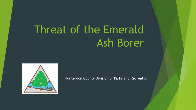# Threat of the Emerald Ash Borer



Hunterdon County Division of Parks and Recreation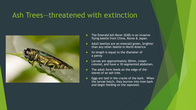#### Ash Trees—threatened with extinction



- The Emerald Ash Borer (EAB) is an invasive flying beetle from China, Korea & Japan.
- Adult beetles are an emerald green, brighter than any other beetle in North America
- Its length is equal to the diameter of a penny
- Larvae are approximately 30mm, cream colored, and have a 10-segmented abdomen.
- The adult form feeds on the edge of the leaves of an ash tree.
- Eggs are laid in the cracks of the bark. When the larvae hatch, they burrow into tree bark and begin feeding on the sapwood.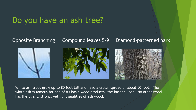# Do you have an ash tree?





#### Opposite Branching Compound leaves 5-9 Diamond-patterned bark



White ash trees grow up to 80 feet tall and have a crown spread of about 50 feet. The white ash is famous for one of its basic wood products—the baseball bat. No other wood has the pliant, strong, yet light qualities of ash wood.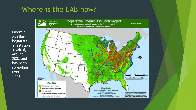## Where is the EAB now?



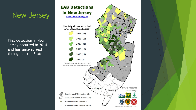### New Jersey

First detection in New Jersey occurred in 2014 and has since spread throughout the State.

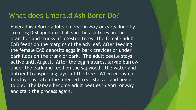#### What does Emerald Ash Borer Do?

Emerad Ash Borer adults emerge in May or early June by creating D-shaped exit holes in the ash trees on the branches and trunks of infested trees. The female adult EAB feeds on the margins of the ash leaf. After feeding, the female EAB deposits eggs in bark crevices or under bark flaps on the trunk or bark. The adult beetle stays active until August. After the egg matures, larvae burrow under the bark and feed on the sapwood - the water and nutrient transporting layer of the tree. When enough of this layer is eaten the infected trees starves and begins to die. The larvae become adult beetles in April or May and start the process again.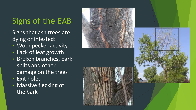# Signs of the EAB

Signs that ash trees are dying or infested:

- Woodpecker activity
- Lack of leaf growth
- Broken branches, bark splits and other damage on the trees
- Exit holes
- Massive flecking of the bark





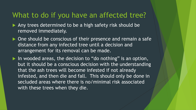#### What to do if you have an affected tree?

- Any trees determined to be a high safety risk should be removed immediately.
- ▶ One should be conscious of their presence and remain a safe distance from any infected tree until a decision and arrangement for its removal can be made.
- $\blacktriangleright$  In wooded areas, the decision to "do nothing" is an option, but it should be a conscious decision with the understanding that the ash trees will become infested if not already infested, and then die and fall. This should only be done in secluded areas where there is no/minimal risk associated with these trees when they die.